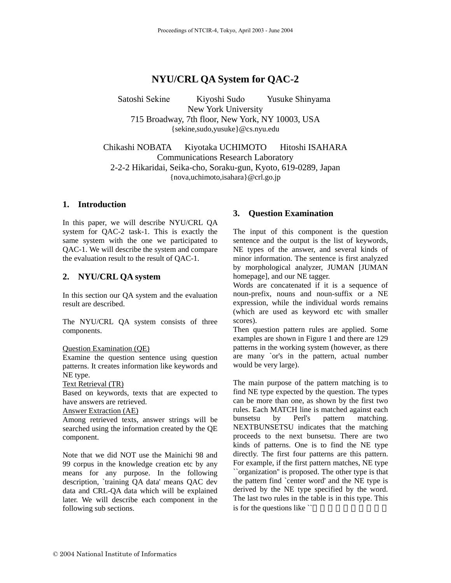# **NYU/CRL QA System for QAC-2**

Satoshi Sekine Kiyoshi Sudo Yusuke Shinyama New York University 715 Broadway, 7th floor, New York, NY 10003, USA {sekine,sudo,yusuke}@cs.nyu.edu

Chikashi NOBATA Kiyotaka UCHIMOTO Hitoshi ISAHARA Communications Research Laboratory 2-2-2 Hikaridai, Seika-cho, Soraku-gun, Kyoto, 619-0289, Japan {nova,uchimoto,isahara}@crl.go.jp

## **1. Introduction**

In this paper, we will describe NYU/CRL QA system for QAC-2 task-1. This is exactly the same system with the one we participated to QAC-1. We will describe the system and compare the evaluation result to the result of QAC-1.

## **2. NYU/CRL QA system**

In this section our QA system and the evaluation result are described.

The NYU/CRL QA system consists of three components.

#### Question Examination (QE)

Examine the question sentence using question patterns. It creates information like keywords and NE type.

Text Retrieval (TR)

Based on keywords, texts that are expected to have answers are retrieved.

#### Answer Extraction (AE)

Among retrieved texts, answer strings will be searched using the information created by the QE component.

Note that we did NOT use the Mainichi 98 and 99 corpus in the knowledge creation etc by any means for any purpose. In the following description, `training QA data' means QAC dev data and CRL-QA data which will be explained later. We will describe each component in the following sub sections.

## **3. Question Examination**

The input of this component is the question sentence and the output is the list of keywords, NE types of the answer, and several kinds of minor information. The sentence is first analyzed by morphological analyzer, JUMAN [JUMAN homepage], and our NE tagger.

Words are concatenated if it is a sequence of noun-prefix, nouns and noun-suffix or a NE expression, while the individual words remains (which are used as keyword etc with smaller scores).

Then question pattern rules are applied. Some examples are shown in Figure 1 and there are 129 patterns in the working system (however, as there are many `or's in the pattern, actual number would be very large).

The main purpose of the pattern matching is to find NE type expected by the question. The types can be more than one, as shown by the first two rules. Each MATCH line is matched against each bunsetsu by Perl's pattern matching. NEXTBUNSETSU indicates that the matching proceeds to the next bunsetsu. There are two kinds of patterns. One is to find the NE type directly. The first four patterns are this pattern. For example, if the first pattern matches, NE type ``organization'' is proposed. The other type is that the pattern find `center word' and the NE type is derived by the NE type specified by the word. The last two rules in the table is in this type. This is for the questions like  $\tilde{ }$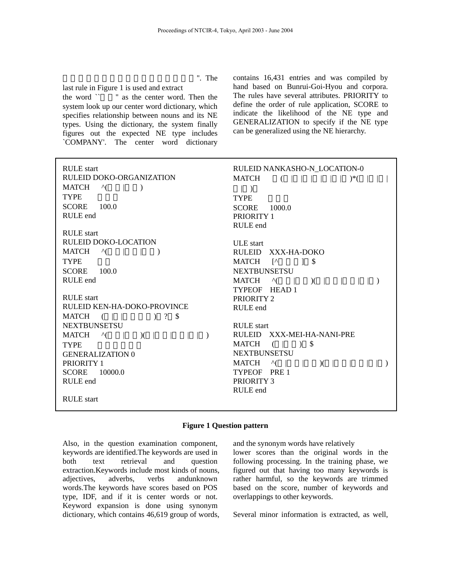". The

last rule in Figure 1 is used and extract

the word  $\sim$  " as the center word. Then the system look up our center word dictionary, which specifies relationship between nouns and its NE types. Using the dictionary, the system finally figures out the expected NE type includes `COMPANY'. The center word dictionary contains 16,431 entries and was compiled by hand based on Bunrui-Goi-Hyou and corpora. The rules have several attributes. PRIORITY to define the order of rule application, SCORE to indicate the likelihood of the NE type and GENERALIZATION to specify if the NE type can be generalized using the NE hierarchy.

| <b>RULE</b> start<br>RULEID DOKO-ORGANIZATION<br>$\wedge$ ( )<br>MATCH<br><b>TYPE</b><br>100.0<br><b>SCORE</b><br>RULE end | RULEID NANKASHO-N_LOCATION-0<br><b>MATCH</b><br>(<br>$  \tbinom{*}{-}$<br>$\vert \ \rangle$<br><b>TYPE</b><br><b>SCORE</b><br>1000.0<br>PRIORITY 1 |
|----------------------------------------------------------------------------------------------------------------------------|----------------------------------------------------------------------------------------------------------------------------------------------------|
| <b>RULE</b> start                                                                                                          | RULE end                                                                                                                                           |
| <b>RULEID DOKO-LOCATION</b>                                                                                                | <b>ULE</b> start                                                                                                                                   |
| MATCH<br>$\Lambda$ (<br>$\mathcal{L} = \mathcal{L}$                                                                        | RULEID XXX-HA-DOKO                                                                                                                                 |
| <b>TYPE</b>                                                                                                                | <b>MATCH</b><br>$\lceil$<br>$\mathbb{S}$<br>1                                                                                                      |
| 100.0<br><b>SCORE</b>                                                                                                      | <b>NEXTBUNSETSU</b>                                                                                                                                |
| RULE end                                                                                                                   | MATCH<br>$\wedge$ (<br>$\chi$                                                                                                                      |
|                                                                                                                            | TYPEOF HEAD 1                                                                                                                                      |
| <b>RULE</b> start                                                                                                          | PRIORITY 2                                                                                                                                         |
| RULEID KEN-HA-DOKO-PROVINCE                                                                                                | RULE end                                                                                                                                           |
| $\begin{array}{cccc} \n) & ? & \mathsf{S} \n\end{array}$<br>MATCH<br>$($                                                   |                                                                                                                                                    |
| <b>NEXTBUNSETSU</b>                                                                                                        | <b>RULE</b> start                                                                                                                                  |
| MATCH<br>$\wedge$ (<br>$\chi$<br>$\sim$                                                                                    | RULEID XXX-MEI-HA-NANI-PRE                                                                                                                         |
| <b>TYPE</b>                                                                                                                | MATCH<br>3 <sup>5</sup><br>$\left($                                                                                                                |
| <b>GENERALIZATION 0</b>                                                                                                    | <b>NEXTBUNSETSU</b>                                                                                                                                |
| PRIORITY 1                                                                                                                 | <b>MATCH</b><br>$\wedge$  <br>$\chi$                                                                                                               |
| <b>SCORE</b><br>10000.0                                                                                                    | TYPEOF PRE1                                                                                                                                        |
| RULE end                                                                                                                   | PRIORITY 3                                                                                                                                         |
|                                                                                                                            | RULE end                                                                                                                                           |
| <b>RULE</b> start                                                                                                          |                                                                                                                                                    |

### **Figure 1 Question pattern**

Also, in the question examination component, keywords are identified.The keywords are used in both text retrieval and question extraction.Keywords include most kinds of nouns, adjectives, adverbs, verbs andunknown words.The keywords have scores based on POS type, IDF, and if it is center words or not. Keyword expansion is done using synonym dictionary, which contains 46,619 group of words, and the synonym words have relatively

lower scores than the original words in the following processing. In the training phase, we figured out that having too many keywords is rather harmful, so the keywords are trimmed based on the score, number of keywords and overlappings to other keywords.

Several minor information is extracted, as well,